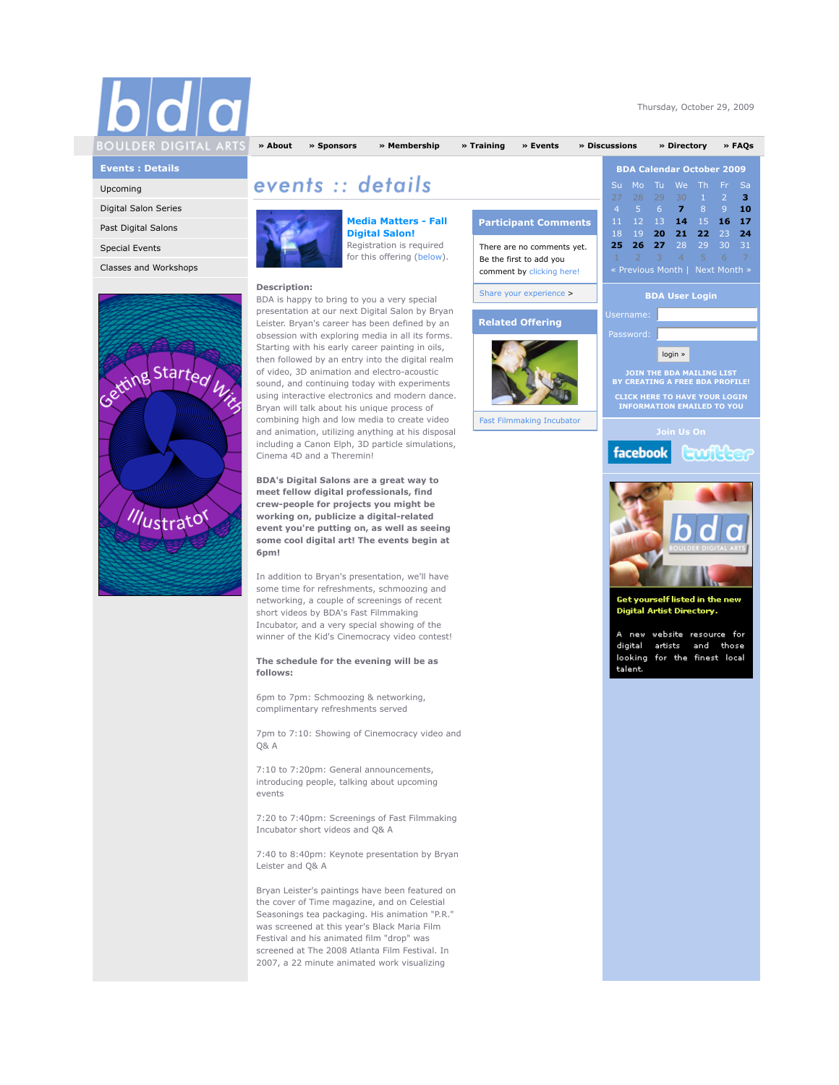| BOULDER DIGITAL ARTS |  |
|----------------------|--|
|                      |  |

Thursday, October 29, 2009

# **Events : Details**

Upcoming

## Digital Salon Series

Past Digital Salons

Special Events

Classes and Workshops



**Media Matters - Fall Digital Salon!** Registration is required for this offering (below).

### **Description:**

BDA is happy to bring to you a very special presentation at our next Digital Salon by Bryan Leister. Bryan's career has been defined by an obsession with exploring media in all its forms. Starting with his early career painting in oils, then followed by an entry into the digital realm of video, 3D animation and electro-acoustic sound, and continuing today with experiments using interactive electronics and modern dance. Bryan will talk about his unique process of combining high and low media to create video and animation, utilizing anything at his disposal including a Canon Elph, 3D particle simulations, Cinema 4D and a Theremin!

events :: details

**BDA's Digital Salons are a great way to meet fellow digital professionals, find crew-people for projects you might be working on, publicize a digital-related event you're putting on, as well as seeing some cool digital art! The events begin at 6pm!**

In addition to Bryan's presentation, we'll have some time for refreshments, schmoozing and networking, a couple of screenings of recent short videos by BDA's Fast Filmmaking Incubator, and a very special showing of the winner of the Kid's Cinemocracy video contest!

# **The schedule for the evening will be as follows:**

6pm to 7pm: Schmoozing & networking, complimentary refreshments served

7pm to 7:10: Showing of Cinemocracy video and Q& A

7:10 to 7:20pm: General announcements, introducing people, talking about upcoming events

7:20 to 7:40pm: Screenings of Fast Filmmaking Incubator short videos and Q& A

7:40 to 8:40pm: Keynote presentation by Bryan Leister and Q& A

Bryan Leister's paintings have been featured on the cover of Time magazine, and on Celestial Seasonings tea packaging. His animation "P.R." was screened at this year's Black Maria Film Festival and his animated film "drop" was screened at The 2008 Atlanta Film Festival. In 2007, a 22 minute animated work visualizing

| <b>Participant Comments</b>                                                        |  |
|------------------------------------------------------------------------------------|--|
| There are no comments yet.<br>Be the first to add you<br>comment by clicking here! |  |
| Share your experience >                                                            |  |
| <b>Related Offering</b>                                                            |  |
|                                                                                    |  |

**» About » Sponsors » Membership » Training » Events » Discussions » Directory » FAQs**

Fast Filmmaking Incubator





Get yourself listed in the new Digital Artist Directory.

new website resource for digital artists and those looking for the finest local talent.